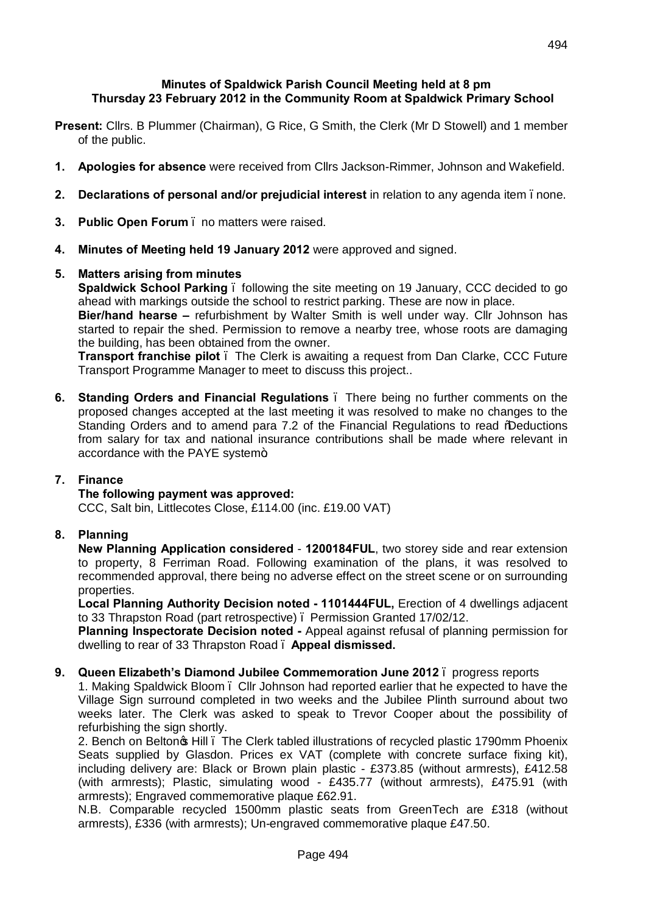## **Minutes of Spaldwick Parish Council Meeting held at 8 pm Thursday 23 February 2012 in the Community Room at Spaldwick Primary School**

- **Present:** Cllrs. B Plummer (Chairman), G Rice, G Smith, the Clerk (Mr D Stowell) and 1 member of the public.
- **1. Apologies for absence** were received from Cllrs Jackson-Rimmer, Johnson and Wakefield.
- **2. Declarations of personal and/or prejudicial interest** in relation to any agenda item –none.
- **3. Public Open Forum** no matters were raised.
- **4. Minutes of Meeting held 19 January 2012** were approved and signed.

### **5. Matters arising from minutes**

**Spaldwick School Parking** – following the site meeting on 19 January, CCC decided to go ahead with markings outside the school to restrict parking. These are now in place.

**Bier/hand hearse –** refurbishment by Walter Smith is well under way. Cllr Johnson has started to repair the shed. Permission to remove a nearby tree, whose roots are damaging the building, has been obtained from the owner.

**Transport franchise pilot** – The Clerk is awaiting a request from Dan Clarke, CCC Future Transport Programme Manager to meet to discuss this project..

**6. Standing Orders and Financial Regulations** – There being no further comments on the proposed changes accepted at the last meeting it was resolved to make no changes to the Standing Orders and to amend para 7.2 of the Financial Regulations to read %Deductions from salary for tax and national insurance contributions shall be made where relevant in accordance with the PAYE system+.

### **7. Finance**

### **The following payment was approved:**

CCC, Salt bin, Littlecotes Close, £114.00 (inc. £19.00 VAT)

### **8. Planning**

**New Planning Application considered** - **1200184FUL**, two storey side and rear extension to property, 8 Ferriman Road. Following examination of the plans, it was resolved to recommended approval, there being no adverse effect on the street scene or on surrounding properties.

**Local Planning Authority Decision noted - 1101444FUL,** Erection of 4 dwellings adjacent to 33 Thrapston Road (part retrospective) – Permission Granted 17/02/12.

**Planning Inspectorate Decision noted -** Appeal against refusal of planning permission for dwelling to rear of 33 Thrapston Road – **Appeal dismissed.**

#### **9. Queen Elizabeth's Diamond Jubilee Commemoration June 2012** – progress reports

1. Making Spaldwick Bloom – Cllr Johnson had reported earlier that he expected to have the Village Sign surround completed in two weeks and the Jubilee Plinth surround about two weeks later. The Clerk was asked to speak to Trevor Cooper about the possibility of refurbishing the sign shortly.

2. Bench on Belton & Hill . The Clerk tabled illustrations of recycled plastic 1790mm Phoenix Seats supplied by Glasdon. Prices ex VAT (complete with concrete surface fixing kit), including delivery are: Black or Brown plain plastic - £373.85 (without armrests), £412.58 (with armrests); Plastic, simulating wood - £435.77 (without armrests), £475.91 (with armrests); Engraved commemorative plaque £62.91.

N.B. Comparable recycled 1500mm plastic seats from GreenTech are £318 (without armrests), £336 (with armrests); Un-engraved commemorative plaque £47.50.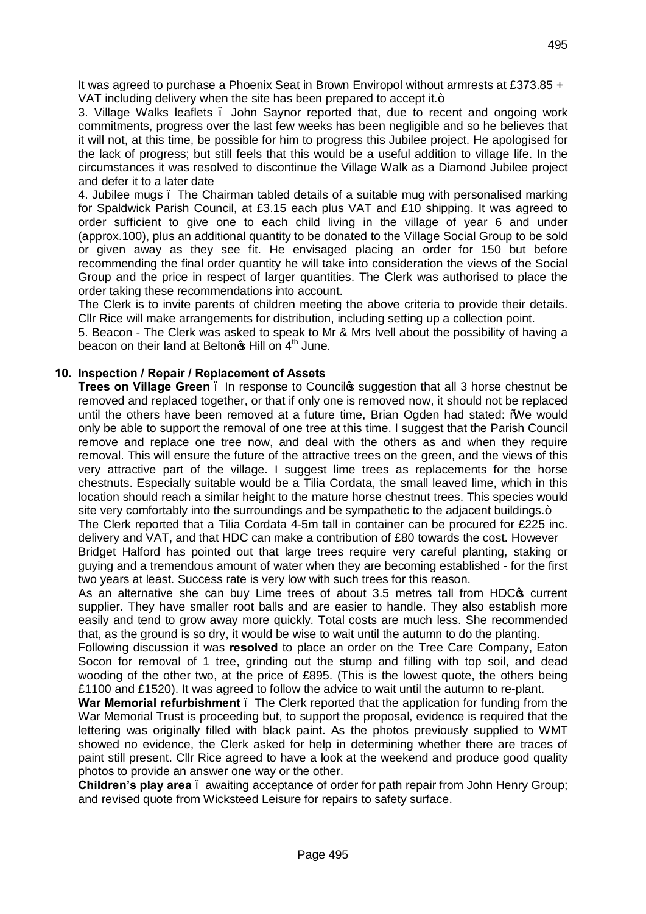It was agreed to purchase a Phoenix Seat in Brown Enviropol without armrests at £373.85 + VAT including delivery when the site has been prepared to accept it. $+$ 

3. Village Walks leaflets – John Saynor reported that, due to recent and ongoing work commitments, progress over the last few weeks has been negligible and so he believes that it will not, at this time, be possible for him to progress this Jubilee project. He apologised for the lack of progress; but still feels that this would be a useful addition to village life. In the circumstances it was resolved to discontinue the Village Walk as a Diamond Jubilee project and defer it to a later date

4. Jubilee mugs – The Chairman tabled details of a suitable mug with personalised marking for Spaldwick Parish Council, at £3.15 each plus VAT and £10 shipping. It was agreed to order sufficient to give one to each child living in the village of year 6 and under (approx.100), plus an additional quantity to be donated to the Village Social Group to be sold or given away as they see fit. He envisaged placing an order for 150 but before recommending the final order quantity he will take into consideration the views of the Social Group and the price in respect of larger quantities. The Clerk was authorised to place the order taking these recommendations into account.

The Clerk is to invite parents of children meeting the above criteria to provide their details. Cllr Rice will make arrangements for distribution, including setting up a collection point.

5. Beacon - The Clerk was asked to speak to Mr & Mrs Ivell about the possibility of having a beacon on their land at Belton $\boldsymbol{\mathsf{s}}$  Hill on  $4^{\text{th}}$  June.

### **10. Inspection / Repair / Replacement of Assets**

**Trees on Village Green** . In response to Council **s** suggestion that all 3 horse chestnut be removed and replaced together, or that if only one is removed now, it should not be replaced until the others have been removed at a future time, Brian Ogden had stated: "We would only be able to support the removal of one tree at this time. I suggest that the Parish Council remove and replace one tree now, and deal with the others as and when they require removal. This will ensure the future of the attractive trees on the green, and the views of this very attractive part of the village. I suggest lime trees as replacements for the horse chestnuts. Especially suitable would be a Tilia Cordata, the small leaved lime, which in this location should reach a similar height to the mature horse chestnut trees. This species would site very comfortably into the surroundings and be sympathetic to the adjacent buildings.+

The Clerk reported that a Tilia Cordata 4-5m tall in container can be procured for £225 inc. delivery and VAT, and that HDC can make a contribution of £80 towards the cost. However

Bridget Halford has pointed out that large trees require very careful planting, staking or guying and a tremendous amount of water when they are becoming established - for the first two years at least. Success rate is very low with such trees for this reason.

As an alternative she can buy Lime trees of about 3.5 metres tall from HDC  $\sigma$  current supplier. They have smaller root balls and are easier to handle. They also establish more easily and tend to grow away more quickly. Total costs are much less. She recommended that, as the ground is so dry, it would be wise to wait until the autumn to do the planting.

Following discussion it was **resolved** to place an order on the Tree Care Company, Eaton Socon for removal of 1 tree, grinding out the stump and filling with top soil, and dead wooding of the other two, at the price of £895. (This is the lowest quote, the others being £1100 and £1520). It was agreed to follow the advice to wait until the autumn to re-plant.

**War Memorial refurbishment** – The Clerk reported that the application for funding from the War Memorial Trust is proceeding but, to support the proposal, evidence is required that the lettering was originally filled with black paint. As the photos previously supplied to WMT showed no evidence, the Clerk asked for help in determining whether there are traces of paint still present. Cllr Rice agreed to have a look at the weekend and produce good quality photos to provide an answer one way or the other.

**Children's play area** – awaiting acceptance of order for path repair from John Henry Group; and revised quote from Wicksteed Leisure for repairs to safety surface.